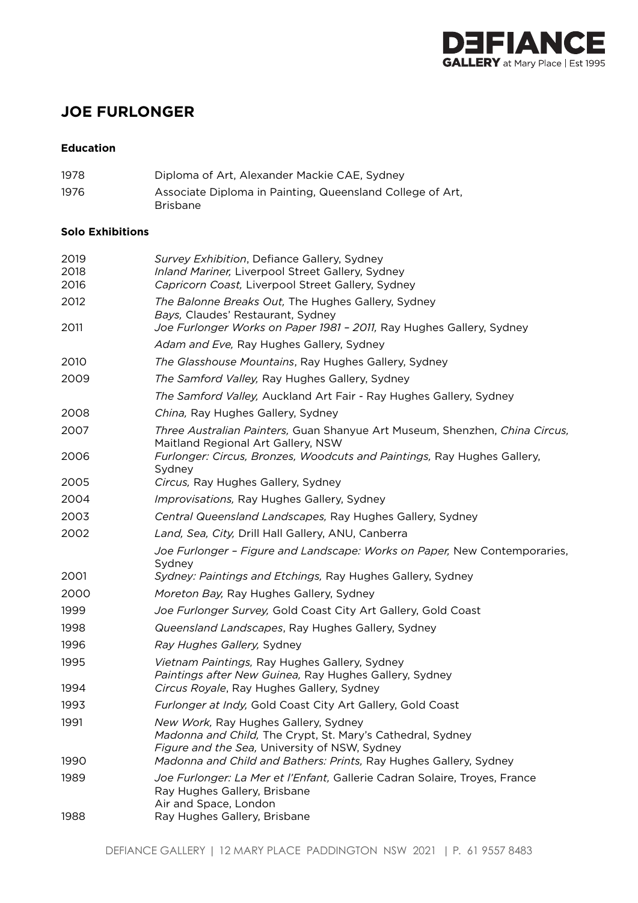

# **JOE FURLONGER**

### **Education**

1978 Diploma of Art, Alexander Mackie CAE, Sydney 1976 Associate Diploma in Painting, Queensland College of Art, Brisbane

#### **Solo Exhibitions**

| 2019<br>2018<br>2016 | Survey Exhibition, Defiance Gallery, Sydney<br>Inland Mariner, Liverpool Street Gallery, Sydney<br>Capricorn Coast, Liverpool Street Gallery, Sydney                                                                     |
|----------------------|--------------------------------------------------------------------------------------------------------------------------------------------------------------------------------------------------------------------------|
| 2012<br>2011         | The Balonne Breaks Out, The Hughes Gallery, Sydney<br>Bays, Claudes' Restaurant, Sydney<br>Joe Furlonger Works on Paper 1981 - 2011, Ray Hughes Gallery, Sydney                                                          |
|                      | Adam and Eve, Ray Hughes Gallery, Sydney                                                                                                                                                                                 |
| 2010                 | The Glasshouse Mountains, Ray Hughes Gallery, Sydney                                                                                                                                                                     |
| 2009                 | The Samford Valley, Ray Hughes Gallery, Sydney                                                                                                                                                                           |
|                      | The Samford Valley, Auckland Art Fair - Ray Hughes Gallery, Sydney                                                                                                                                                       |
| 2008                 | China, Ray Hughes Gallery, Sydney                                                                                                                                                                                        |
| 2007                 | Three Australian Painters, Guan Shanyue Art Museum, Shenzhen, China Circus,<br>Maitland Regional Art Gallery, NSW                                                                                                        |
| 2006                 | Furlonger: Circus, Bronzes, Woodcuts and Paintings, Ray Hughes Gallery,<br>Sydney                                                                                                                                        |
| 2005                 | Circus, Ray Hughes Gallery, Sydney                                                                                                                                                                                       |
| 2004                 | Improvisations, Ray Hughes Gallery, Sydney                                                                                                                                                                               |
| 2003                 | Central Queensland Landscapes, Ray Hughes Gallery, Sydney                                                                                                                                                                |
| 2002                 | Land, Sea, City, Drill Hall Gallery, ANU, Canberra                                                                                                                                                                       |
|                      | Joe Furlonger - Figure and Landscape: Works on Paper, New Contemporaries,<br>Sydney                                                                                                                                      |
| 2001                 | Sydney: Paintings and Etchings, Ray Hughes Gallery, Sydney                                                                                                                                                               |
| 2000                 | Moreton Bay, Ray Hughes Gallery, Sydney                                                                                                                                                                                  |
| 1999                 | Joe Furlonger Survey, Gold Coast City Art Gallery, Gold Coast                                                                                                                                                            |
| 1998                 | Queensland Landscapes, Ray Hughes Gallery, Sydney                                                                                                                                                                        |
| 1996                 | Ray Hughes Gallery, Sydney                                                                                                                                                                                               |
| 1995<br>1994         | Vietnam Paintings, Ray Hughes Gallery, Sydney<br>Paintings after New Guinea, Ray Hughes Gallery, Sydney<br>Circus Royale, Ray Hughes Gallery, Sydney                                                                     |
| 1993                 | Furlonger at Indy, Gold Coast City Art Gallery, Gold Coast                                                                                                                                                               |
| 1991<br>1990         | New Work, Ray Hughes Gallery, Sydney<br>Madonna and Child, The Crypt, St. Mary's Cathedral, Sydney<br>Figure and the Sea, University of NSW, Sydney<br>Madonna and Child and Bathers: Prints, Ray Hughes Gallery, Sydney |
| 1989                 | Joe Furlonger: La Mer et l'Enfant, Gallerie Cadran Solaire, Troyes, France                                                                                                                                               |
|                      | Ray Hughes Gallery, Brisbane<br>Air and Space, London                                                                                                                                                                    |
| 1988                 | Ray Hughes Gallery, Brisbane                                                                                                                                                                                             |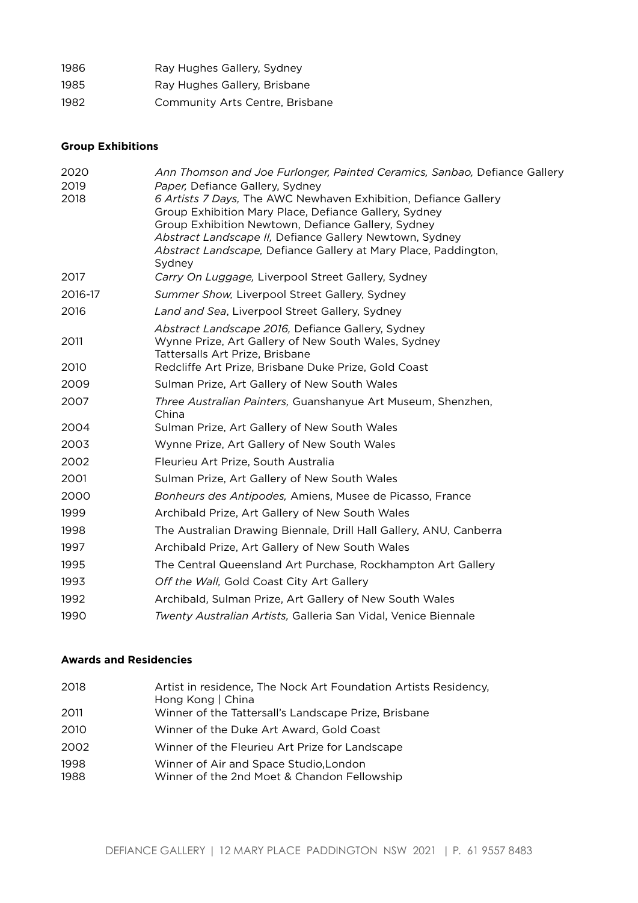| 1986 | Ray Hughes Gallery, Sydney      |
|------|---------------------------------|
| 1985 | Ray Hughes Gallery, Brisbane    |
| 1982 | Community Arts Centre, Brisbane |

### **Group Exhibitions**

| Ann Thomson and Joe Furlonger, Painted Ceramics, Sanbao, Defiance Gallery                                   |
|-------------------------------------------------------------------------------------------------------------|
| Paper, Defiance Gallery, Sydney                                                                             |
| 6 Artists 7 Days, The AWC Newhaven Exhibition, Defiance Gallery                                             |
| Group Exhibition Mary Place, Defiance Gallery, Sydney<br>Group Exhibition Newtown, Defiance Gallery, Sydney |
| Abstract Landscape II, Defiance Gallery Newtown, Sydney                                                     |
| Abstract Landscape, Defiance Gallery at Mary Place, Paddington,                                             |
| Sydney                                                                                                      |
| Carry On Luggage, Liverpool Street Gallery, Sydney                                                          |
| Summer Show, Liverpool Street Gallery, Sydney                                                               |
| Land and Sea, Liverpool Street Gallery, Sydney                                                              |
| Abstract Landscape 2016, Defiance Gallery, Sydney                                                           |
| Wynne Prize, Art Gallery of New South Wales, Sydney                                                         |
| Tattersalls Art Prize, Brisbane<br>Redcliffe Art Prize, Brisbane Duke Prize, Gold Coast                     |
|                                                                                                             |
| Sulman Prize, Art Gallery of New South Wales                                                                |
| Three Australian Painters, Guanshanyue Art Museum, Shenzhen,<br>China                                       |
| Sulman Prize, Art Gallery of New South Wales                                                                |
| Wynne Prize, Art Gallery of New South Wales                                                                 |
| Fleurieu Art Prize, South Australia                                                                         |
| Sulman Prize, Art Gallery of New South Wales                                                                |
| Bonheurs des Antipodes, Amiens, Musee de Picasso, France                                                    |
| Archibald Prize, Art Gallery of New South Wales                                                             |
| The Australian Drawing Biennale, Drill Hall Gallery, ANU, Canberra                                          |
| Archibald Prize, Art Gallery of New South Wales                                                             |
| The Central Queensland Art Purchase, Rockhampton Art Gallery                                                |
| Off the Wall, Gold Coast City Art Gallery                                                                   |
| Archibald, Sulman Prize, Art Gallery of New South Wales                                                     |
| Twenty Australian Artists, Galleria San Vidal, Venice Biennale                                              |
|                                                                                                             |

## **Awards and Residencies**

| 2018         | Artist in residence, The Nock Art Foundation Artists Residency,<br>Hong Kong   China  |
|--------------|---------------------------------------------------------------------------------------|
| 2011         | Winner of the Tattersall's Landscape Prize, Brisbane                                  |
| 2010         | Winner of the Duke Art Award, Gold Coast                                              |
| 2002         | Winner of the Fleurieu Art Prize for Landscape                                        |
| 1998<br>1988 | Winner of Air and Space Studio, London<br>Winner of the 2nd Moet & Chandon Fellowship |